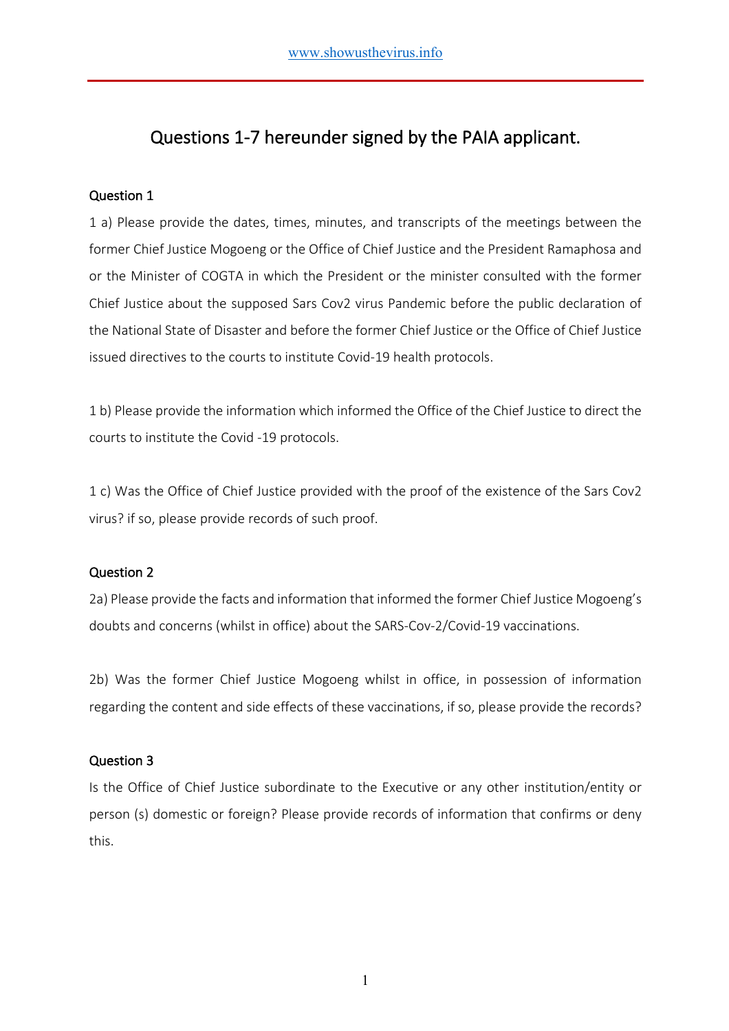# Questions 1-7 hereunder signed by the PAIA applicant.

# Question 1

1 a) Please provide the dates, times, minutes, and transcripts of the meetings between the former Chief Justice Mogoeng or the Office of Chief Justice and the President Ramaphosa and or the Minister of COGTA in which the President or the minister consulted with the former Chief Justice about the supposed Sars Cov2 virus Pandemic before the public declaration of the National State of Disaster and before the former Chief Justice or the Office of Chief Justice issued directives to the courts to institute Covid-19 health protocols.

1 b) Please provide the information which informed the Office of the Chief Justice to direct the courts to institute the Covid -19 protocols.

1 c) Was the Office of Chief Justice provided with the proof of the existence of the Sars Cov2 virus? if so, please provide records of such proof.

# Question 2

2a) Please provide the facts and information that informed the former Chief Justice Mogoeng's doubts and concerns (whilst in office) about the SARS-Cov-2/Covid-19 vaccinations.

2b) Was the former Chief Justice Mogoeng whilst in office, in possession of information regarding the content and side effects of these vaccinations, if so, please provide the records?

# Question 3

Is the Office of Chief Justice subordinate to the Executive or any other institution/entity or person (s) domestic or foreign? Please provide records of information that confirms or deny this.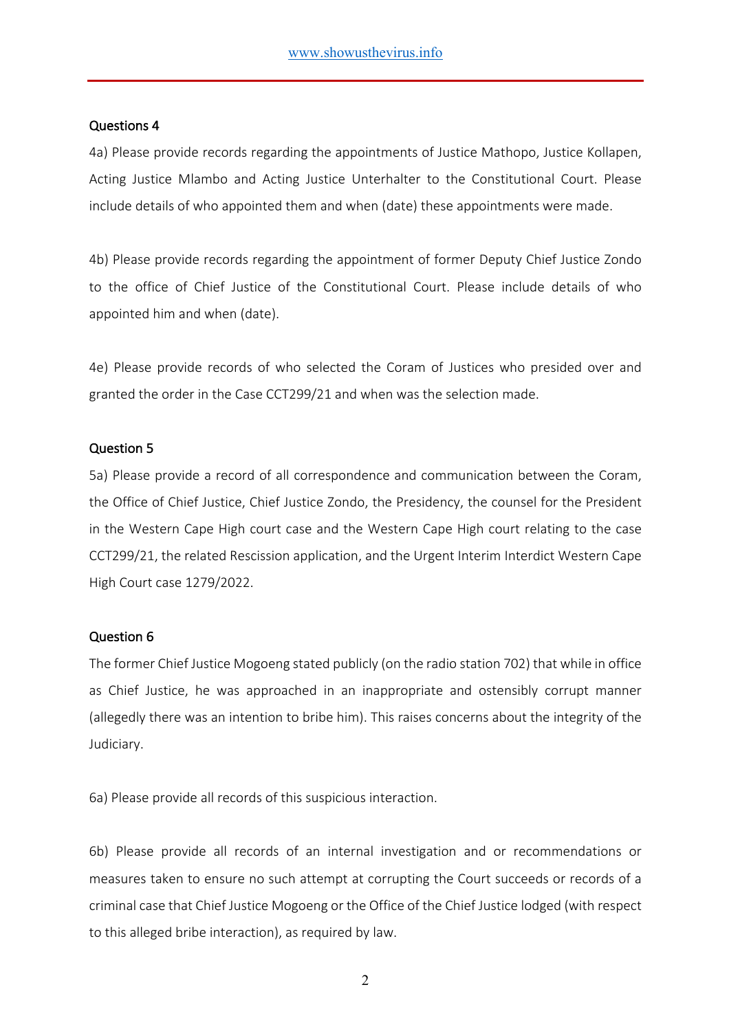#### Questions 4

4a) Please provide records regarding the appointments of Justice Mathopo, Justice Kollapen, Acting Justice Mlambo and Acting Justice Unterhalter to the Constitutional Court. Please include details of who appointed them and when (date) these appointments were made.

4b) Please provide records regarding the appointment of former Deputy Chief Justice Zondo to the office of Chief Justice of the Constitutional Court. Please include details of who appointed him and when (date).

4e) Please provide records of who selected the Coram of Justices who presided over and granted the order in the Case CCT299/21 and when was the selection made.

#### Question 5

5a) Please provide a record of all correspondence and communication between the Coram, the Office of Chief Justice, Chief Justice Zondo, the Presidency, the counsel for the President in the Western Cape High court case and the Western Cape High court relating to the case CCT299/21, the related Rescission application, and the Urgent Interim Interdict Western Cape High Court case 1279/2022.

#### Question 6

The former Chief Justice Mogoeng stated publicly (on the radio station 702) that while in office as Chief Justice, he was approached in an inappropriate and ostensibly corrupt manner (allegedly there was an intention to bribe him). This raises concerns about the integrity of the Judiciary.

6a) Please provide all records of this suspicious interaction.

6b) Please provide all records of an internal investigation and or recommendations or measures taken to ensure no such attempt at corrupting the Court succeeds or records of a criminal case that Chief Justice Mogoeng or the Office of the Chief Justice lodged (with respect to this alleged bribe interaction), as required by law.